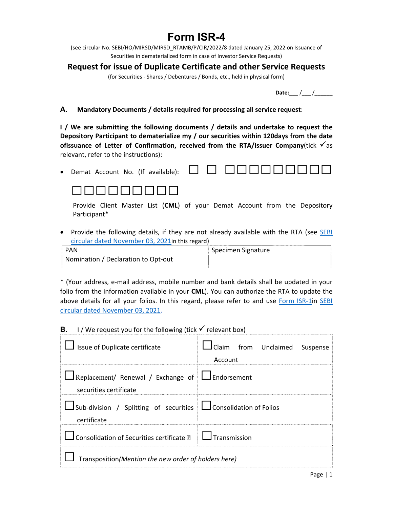## **Form ISR-4**

(see circular No. SEBI/HO/MIRSD/MIRSD\_RTAMB/P/CIR/2022/8 dated January 25, 2022 on Issuance of Securities in dematerialized form in case of Investor Service Requests)

### **Request for issue of Duplicate Certificate and other Service Requests**

(for Securities ‐ Shares / Debentures / Bonds, etc., held in physical form)

| ro.<br>ורגנו |  |  |
|--------------|--|--|
|--------------|--|--|

#### **A. Mandatory Documents / details required for processing all service request**:

**I** / We are submitting the following documents / details and undertake to request the **Depository Participant to dematerialize my / our securities within 120days from the date ofissuance of Letter of Confirmation, received from the RTA/Issuer Company**(tick  $\checkmark$  as relevant, refer to the instructions):

• Demat Account No. (If available):  $\Box$   $\Box$   $\Box$   $\Box$   $\Box$   $\Box$ 



Provide Client Master List (**CML**) of your Demat Account from the Depository Participant\*

• Provide the following details, if they are not already available with the RTA (see **SEBI** circular dated November 03, 2021in this regard)

| <b>PAN</b>                          | Specimen Signature |
|-------------------------------------|--------------------|
| Nomination / Declaration to Opt-out |                    |

\* (Your address, e‐mail address, mobile number and bank details shall be updated in your folio from the information available in your **CML**). You can authorize the RTA to update the above details for all your folios. In this regard, please refer to and use Form ISR-1in SEBI circular dated November 03, 2021.

**B. I** / We request you for the following (tick  $\checkmark$  relevant box)

| Issue of Duplicate certificate                                                           | I Claim from Unclaimed Suspense<br>Account |  |
|------------------------------------------------------------------------------------------|--------------------------------------------|--|
| $\perp$ Replacement/ Renewal / Exchange of $\perp$ Endorsement<br>securities certificate |                                            |  |
| □ Sub-division / Splitting of securities □ Consolidation of Folios<br>certificate        |                                            |  |
| Consolidation of Securities certificate <b>1</b>   $\Box$ Transmission                   |                                            |  |
| Transposition(Mention the new order of holders here)                                     |                                            |  |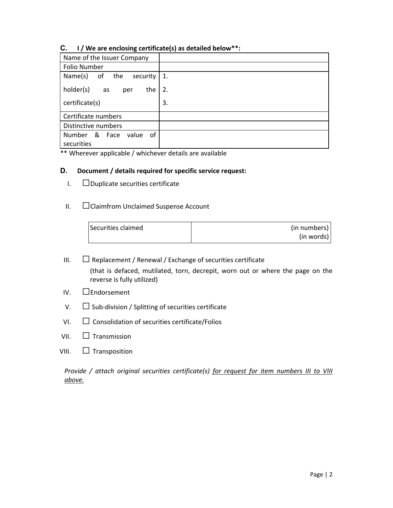#### **C. I / We are enclosing certificate(s) as detailed below\*\*:**

| Name of the Issuer Company                 |    |
|--------------------------------------------|----|
| <b>Folio Number</b>                        |    |
| Name(s)<br>of the<br>security              | 1. |
| holder(s)<br>the<br>as<br>per              | 2. |
| certificate(s)                             | 3. |
| Certificate numbers                        |    |
| Distinctive numbers                        |    |
| Number & Face<br>0f<br>value<br>securities |    |

\*\* Wherever applicable / whichever details are available

#### **D. Document / details required for specific service request:**

- I. Duplicate securities certificate
- II. Claimfrom Unclaimed Suspense Account

| Securities claimed | (in numbers) |
|--------------------|--------------|
|                    | (in words)   |

- III.  $\Box$  Replacement / Renewal / Exchange of securities certificate (that is defaced, mutilated, torn, decrepit, worn out or where the page on the reverse is fully utilized)
- IV. Endorsement
- V.  $\Box$  Sub-division / Splitting of securities certificate
- $VI.$   $\Box$  Consolidation of securities certificate/Folios
- VII.  $\Box$  Transmission
- VIII.  $\Box$  Transposition

*Provide / attach original securities certificate(s) for request for item numbers III to VIII above.*